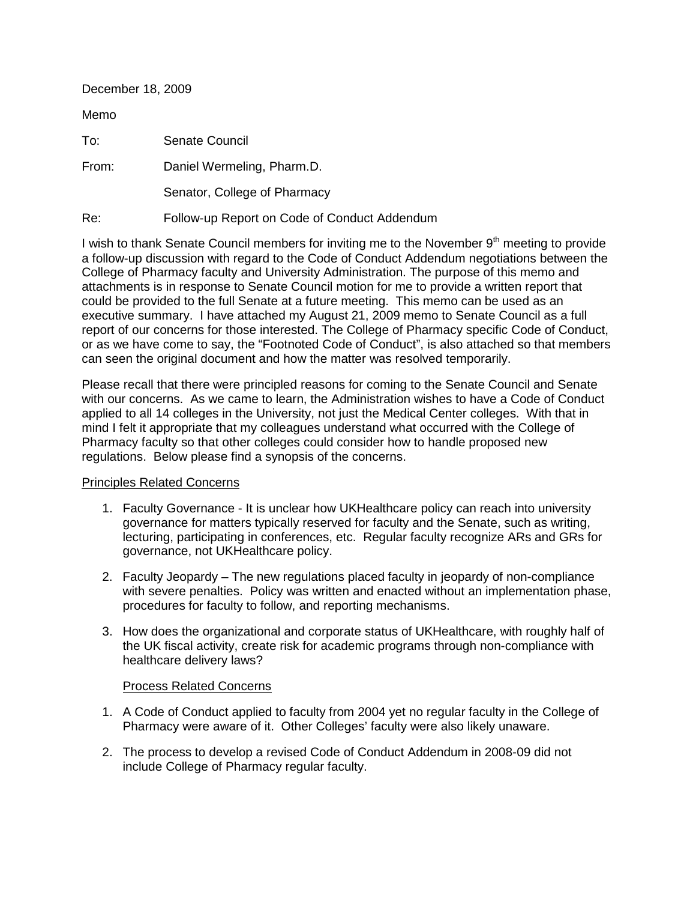| December 18, 2009 |                                              |
|-------------------|----------------------------------------------|
| Memo              |                                              |
| To:               | Senate Council                               |
| From:             | Daniel Wermeling, Pharm.D.                   |
|                   | Senator, College of Pharmacy                 |
| Re:               | Follow-up Report on Code of Conduct Addendum |

I wish to thank Senate Council members for inviting me to the November 9<sup>th</sup> meeting to provide a follow-up discussion with regard to the Code of Conduct Addendum negotiations between the College of Pharmacy faculty and University Administration. The purpose of this memo and attachments is in response to Senate Council motion for me to provide a written report that could be provided to the full Senate at a future meeting. This memo can be used as an executive summary. I have attached my August 21, 2009 memo to Senate Council as a full report of our concerns for those interested. The College of Pharmacy specific Code of Conduct, or as we have come to say, the "Footnoted Code of Conduct", is also attached so that members

can seen the original document and how the matter was resolved temporarily.

Please recall that there were principled reasons for coming to the Senate Council and Senate with our concerns. As we came to learn, the Administration wishes to have a Code of Conduct applied to all 14 colleges in the University, not just the Medical Center colleges. With that in mind I felt it appropriate that my colleagues understand what occurred with the College of Pharmacy faculty so that other colleges could consider how to handle proposed new regulations. Below please find a synopsis of the concerns.

## Principles Related Concerns

- 1. Faculty Governance It is unclear how UKHealthcare policy can reach into university governance for matters typically reserved for faculty and the Senate, such as writing, lecturing, participating in conferences, etc. Regular faculty recognize ARs and GRs for governance, not UKHealthcare policy.
- 2. Faculty Jeopardy The new regulations placed faculty in jeopardy of non-compliance with severe penalties. Policy was written and enacted without an implementation phase, procedures for faculty to follow, and reporting mechanisms.
- 3. How does the organizational and corporate status of UKHealthcare, with roughly half of the UK fiscal activity, create risk for academic programs through non-compliance with healthcare delivery laws?

## Process Related Concerns

- 1. A Code of Conduct applied to faculty from 2004 yet no regular faculty in the College of Pharmacy were aware of it. Other Colleges' faculty were also likely unaware.
- 2. The process to develop a revised Code of Conduct Addendum in 2008-09 did not include College of Pharmacy regular faculty.